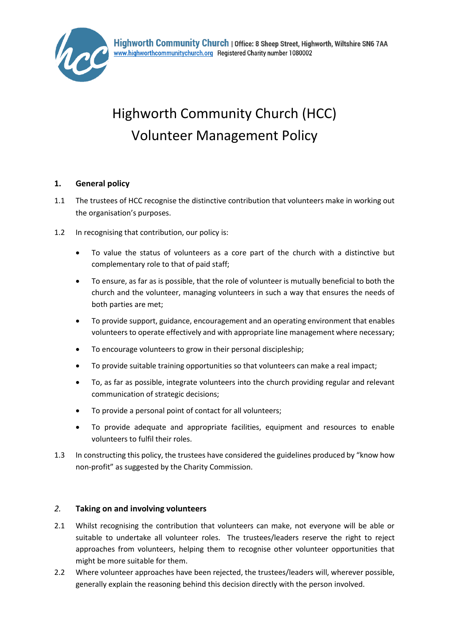

# Highworth Community Church (HCC) Volunteer Management Policy

## **1. General policy**

- 1.1 The trustees of HCC recognise the distinctive contribution that volunteers make in working out the organisation's purposes.
- 1.2 In recognising that contribution, our policy is:
	- To value the status of volunteers as a core part of the church with a distinctive but complementary role to that of paid staff;
	- To ensure, as far as is possible, that the role of volunteer is mutually beneficial to both the church and the volunteer, managing volunteers in such a way that ensures the needs of both parties are met;
	- To provide support, guidance, encouragement and an operating environment that enables volunteers to operate effectively and with appropriate line management where necessary;
	- To encourage volunteers to grow in their personal discipleship;
	- To provide suitable training opportunities so that volunteers can make a real impact;
	- To, as far as possible, integrate volunteers into the church providing regular and relevant communication of strategic decisions;
	- To provide a personal point of contact for all volunteers;
	- To provide adequate and appropriate facilities, equipment and resources to enable volunteers to fulfil their roles.
- 1.3 In constructing this policy, the trustees have considered the guidelines produced by "know how non-profit" as suggested by the Charity Commission.

### *2.* **Taking on and involving volunteers**

- 2.1 Whilst recognising the contribution that volunteers can make, not everyone will be able or suitable to undertake all volunteer roles. The trustees/leaders reserve the right to reject approaches from volunteers, helping them to recognise other volunteer opportunities that might be more suitable for them.
- 2.2 Where volunteer approaches have been rejected, the trustees/leaders will, wherever possible, generally explain the reasoning behind this decision directly with the person involved.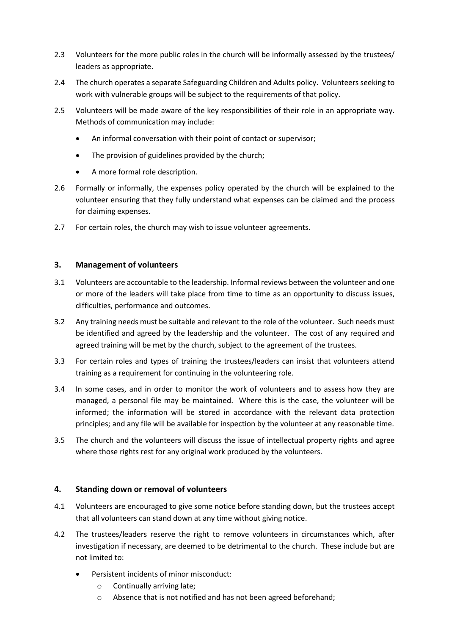- 2.3 Volunteers for the more public roles in the church will be informally assessed by the trustees/ leaders as appropriate.
- 2.4 The church operates a separate Safeguarding Children and Adults policy. Volunteers seeking to work with vulnerable groups will be subject to the requirements of that policy.
- 2.5 Volunteers will be made aware of the key responsibilities of their role in an appropriate way. Methods of communication may include:
	- An informal conversation with their point of contact or supervisor;
	- The provision of guidelines provided by the church;
	- A more formal role description.
- 2.6 Formally or informally, the expenses policy operated by the church will be explained to the volunteer ensuring that they fully understand what expenses can be claimed and the process for claiming expenses.
- 2.7 For certain roles, the church may wish to issue volunteer agreements.

#### **3. Management of volunteers**

- 3.1 Volunteers are accountable to the leadership. Informal reviews between the volunteer and one or more of the leaders will take place from time to time as an opportunity to discuss issues, difficulties, performance and outcomes.
- 3.2 Any training needs must be suitable and relevant to the role of the volunteer. Such needs must be identified and agreed by the leadership and the volunteer. The cost of any required and agreed training will be met by the church, subject to the agreement of the trustees.
- 3.3 For certain roles and types of training the trustees/leaders can insist that volunteers attend training as a requirement for continuing in the volunteering role.
- 3.4 In some cases, and in order to monitor the work of volunteers and to assess how they are managed, a personal file may be maintained. Where this is the case, the volunteer will be informed; the information will be stored in accordance with the relevant data protection principles; and any file will be available for inspection by the volunteer at any reasonable time.
- 3.5 The church and the volunteers will discuss the issue of intellectual property rights and agree where those rights rest for any original work produced by the volunteers.

#### **4. Standing down or removal of volunteers**

- 4.1 Volunteers are encouraged to give some notice before standing down, but the trustees accept that all volunteers can stand down at any time without giving notice.
- 4.2 The trustees/leaders reserve the right to remove volunteers in circumstances which, after investigation if necessary, are deemed to be detrimental to the church. These include but are not limited to:
	- Persistent incidents of minor misconduct:
		- o Continually arriving late;
		- o Absence that is not notified and has not been agreed beforehand;